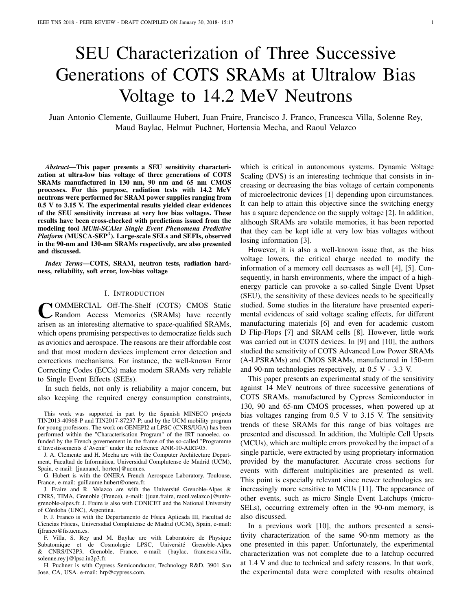# SEU Characterization of Three Successive Generations of COTS SRAMs at Ultralow Bias Voltage to 14.2 MeV Neutrons

Juan Antonio Clemente, Guillaume Hubert, Juan Fraire, Francisco J. Franco, Francesca Villa, Solenne Rey, Maud Baylac, Helmut Puchner, Hortensia Mecha, and Raoul Velazco

*Abstract*—This paper presents a SEU sensitivity characterization at ultra-low bias voltage of three generations of COTS SRAMs manufactured in 130 nm, 90 nm and 65 nm CMOS processes. For this purpose, radiation tests with 14.2 MeV neutrons were performed for SRAM power supplies ranging from 0.5 V to 3.15 V. The experimental results yielded clear evidences of the SEU sensitivity increase at very low bias voltages. These results have been cross-checked with predictions issued from the modeling tool *MUlti-SCAles Single Event Phenomena Predictive* Platform (MUSCA-SEP<sup>3</sup>). Large-scale SELs and SEFIs, observed in the 90-nm and 130-nm SRAMs respectively, are also presented and discussed.

*Index Terms*—COTS, SRAM, neutron tests, radiation hardness, reliability, soft error, low-bias voltage

## I. INTRODUCTION

**COMMERCIAL Off-The-Shelf (COTS) CMOS Static Random Access Memories (SRAMs) have recently arisen as an interesting alternative to space-qualified SRAMs,** OMMERCIAL Off-The-Shelf (COTS) CMOS Static Random Access Memories (SRAMs) have recently which opens promising perspectives to democratize fields such as avionics and aerospace. The reasons are their affordable cost and that most modern devices implement error detection and corrections mechanisms. For instance, the well-known Error Correcting Codes (ECCs) make modern SRAMs very reliable to Single Event Effects (SEEs).

In such fields, not only is reliability a major concern, but also keeping the required energy consumption constraints,

This work was supported in part by the Spanish MINECO projects TIN2013-40968-P and TIN2017-87237-P; and by the UCM mobility program for young professors. The work on GENEPI2 at LPSC (CNRS/UGA) has been performed within the "Characterisation Program" of the IRT nanoelec, cofunded by the French governement in the frame of the so-called "Programme d'Investissements d'Avenir" under the reference ANR-10-AIRT-05.

J. A. Clemente and H. Mecha are with the Computer Architecture Department, Facultad de Informática, Universidad Complutense de Madrid (UCM), Spain, e-mail: {juanancl, horten}@ucm.es.

G. Hubert is with the ONERA French Aerospace Laboratory, Toulouse, France, e-mail: guillaume.hubert@onera.fr.

J. Fraire and R. Velazco are with the Université Grenoble-Alpes & CNRS, TIMA, Grenoble (France), e-mail: {juan.fraire, raoul.velazco}@univgrenoble-alpes.fr. J. Fraire is also with CONICET and the National University of Córdoba (UNC), Argentina.

F. J. Franco is with the Departamento de Física Aplicada III, Facultad de Ciencias Físicas, Universidad Complutense de Madrid (UCM), Spain, e-mail: fjfranco@fis.ucm.es.

F. Villa, S. Rey and M. Baylac are with Laboratoire de Physique Subatomique et de Cosmologie LPSC, Université Grenoble-Alpes & CNRS/IN2P3, Grenoble, France, e-mail: {baylac, francesca.villa, solenne.rey}@lpsc.in2p3.fr.

H. Puchner is with Cypress Semiconductor, Technology R&D, 3901 San Jose, CA, USA. e-mail: hrp@cypress.com.

which is critical in autonomous systems. Dynamic Voltage Scaling (DVS) is an interesting technique that consists in increasing or decreasing the bias voltage of certain components of microelectronic devices [\[1\]](#page-6-0) depending upon circumstances. It can help to attain this objective since the switching energy has a square dependence on the supply voltage [\[2\]](#page-6-1). In addition, although SRAMs are volatile memories, it has been reported that they can be kept idle at very low bias voltages without losing information [\[3\]](#page-6-2).

However, it is also a well-known issue that, as the bias voltage lowers, the critical charge needed to modify the information of a memory cell decreases as well [\[4\]](#page-6-3), [\[5\]](#page-6-4). Consequently, in harsh environments, where the impact of a highenergy particle can provoke a so-called Single Event Upset (SEU), the sensitivity of these devices needs to be specifically studied. Some studies in the literature have presented experimental evidences of said voltage scaling effects, for different manufacturing materials [\[6\]](#page-6-5) and even for academic custom D Flip-Flops [\[7\]](#page-6-6) and SRAM cells [\[8\]](#page-6-7). However, little work was carried out in COTS devices. In [\[9\]](#page-6-8) and [\[10\]](#page-6-9), the authors studied the sensitivity of COTS Advanced Low Power SRAMs (A-LPSRAMs) and CMOS SRAMs, manufactured in 150-nm and 90-nm technologies respectively, at 0.5 V - 3.3 V.

This paper presents an experimental study of the sensitivity against 14 MeV neutrons of three successive generations of COTS SRAMs, manufactured by Cypress Semiconductor in 130, 90 and 65-nm CMOS processes, when powered up at bias voltages ranging from 0.5 V to 3.15 V. The sensitivity trends of these SRAMs for this range of bias voltages are presented and discussed. In addition, the Multiple Cell Upsets (MCUs), which are multiple errors provoked by the impact of a single particle, were extracted by using proprietary information provided by the manufacturer. Accurate cross sections for events with different multiplicities are presented as well. This point is especially relevant since newer technologies are increasingly more sensitive to MCUs [\[11\]](#page-7-0). The appearance of other events, such as micro Single Event Latchups (micro-SELs), occurring extremely often in the 90-nm memory, is also discussed.

In a previous work [\[10\]](#page-6-9), the authors presented a sensitivity characterization of the same 90-nm memory as the one presented in this paper. Unfortunately, the experimental characterization was not complete due to a latchup occurred at 1.4 V and due to technical and safety reasons. In that work, the experimental data were completed with results obtained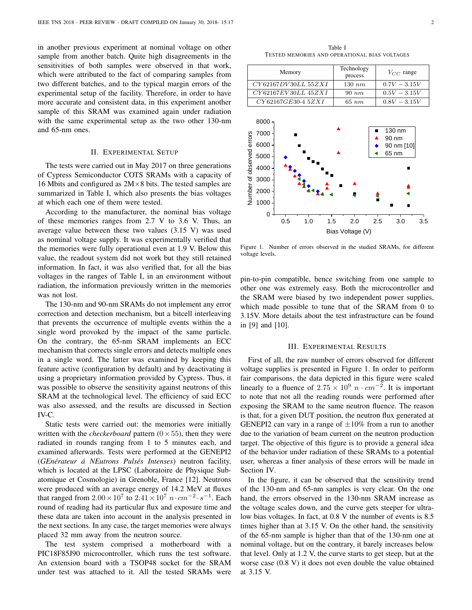in another previous experiment at nominal voltage on other sample from another batch. Quite high disagreements in the sensitivities of both samples were observed in that work, which were attributed to the fact of comparing samples from two different batches, and to the typical margin errors of the experimental setup of the facility. Therefore, in order to have more accurate and consistent data, in this experiment another sample of this SRAM was examined again under radiation with the same experimental setup as the two other 130-nm and 65-nm ones.

## II. EXPERIMENTAL SETUP

The tests were carried out in May 2017 on three generations of Cypress Semiconductor COTS SRAMs with a capacity of 16 Mbits and configured as  $2M \times 8$  bits. The tested samples are summarized in Table [I,](#page-1-0) which also presents the bias voltages at which each one of them were tested.

According to the manufacturer, the nominal bias voltage of these memories ranges from 2.7 V to 3.6 V. Thus, an average value between these two values (3.15 V) was used as nominal voltage supply. It was experimentally verified that the memories were fully operational even at 1.9 V. Below this value, the readout system did not work but they still retained information. In fact, it was also verified that, for all the bias voltages in the ranges of Table [I,](#page-1-0) in an environment without radiation, the information previously written in the memories was not lost.

The 130-nm and 90-nm SRAMs do not implement any error correction and detection mechanism, but a bitcell interleaving that prevents the occurrence of multiple events within the a single word provoked by the impact of the same particle. On the contrary, the 65-nm SRAM implements an ECC mechanism that corrects single errors and detects multiple ones in a single word. The latter was examined by keeping this feature active (configuration by default) and by deactivating it using a proprietary information provided by Cypress. Thus, it was possible to observe the sensitivity against neutrons of this SRAM at the technological level. The efficiency of said ECC was also assessed, and the results are discussed in Section [IV-C.](#page-4-0)

Static tests were carried out: the memories were initially written with the *checkerboard* pattern  $(0 \times 55)$ , then they were radiated in rounds ranging from 1 to 5 minutes each, and examined afterwards. Tests were performed at the GENEPI2 (*GEnérateur á NEutrons Pulsés Intenses*) neutron facility, which is located at the LPSC (Laboratoire de Physique Subatomique et Cosmologie) in Grenoble, France [\[12\]](#page-7-1). Neutrons were produced with an average energy of 14.2 MeV at fluxes that ranged from  $2.00 \times 10^7$  to  $2.41 \times 10^7$   $n \cdot cm^{-2} \cdot s^{-1}$ . Each round of reading had its particular flux and exposure time and these data are taken into account in the analysis presented in the next sections. In any case, the target memories were always placed 32 mm away from the neutron source.

The test system comprised a motherboard with a PIC18F85J90 microcontroller, which runs the test software. An extension board with a TSOP48 socket for the SRAM under test was attached to it. All the tested SRAMs were

Table I TESTED MEMORIES AND OPERATIONAL BIAS VOLTAGES

<span id="page-1-0"></span>

| Memory                            | Technology<br>process | $V_{CC}$ range<br>$0.7V - 3.15V$ |  |
|-----------------------------------|-----------------------|----------------------------------|--|
| CY62167DV30LL 55ZXI               | $130\ nm$             |                                  |  |
| $CY62167EV30LL$ $45ZXI$           | $90\ nm$              | $0.5V - 3.15V$                   |  |
| CY62167GE30-4 5ZXI                | $65\ nm$              | $0.8V - 3.15V$                   |  |
| 8000                              |                       |                                  |  |
| 7000                              |                       | 130 nm                           |  |
| 6000                              |                       | 90 nm                            |  |
|                                   |                       | 90 nm [10]                       |  |
| 5000                              |                       | 65 nm                            |  |
| 4000                              |                       |                                  |  |
| 3000                              |                       |                                  |  |
| Number of observed errors<br>2000 |                       |                                  |  |
| 1000                              |                       |                                  |  |
| O                                 |                       |                                  |  |
| 0.5<br>1.0                        | 1.5<br>2.0            | 2.5<br>3.0<br>3.5                |  |

<span id="page-1-1"></span>Figure 1. Number of errors observed in the studied SRAMs, for different voltage levels.

Bias Voltage (V)

pin-to-pin compatible, hence switching from one sample to other one was extremely easy. Both the microcontroller and the SRAM were biased by two independent power supplies, which made possible to tune that of the SRAM from 0 to 3.15V. More details about the test infrastructure can be found in [\[9\]](#page-6-8) and [\[10\]](#page-6-9).

#### III. EXPERIMENTAL RESULTS

First of all, the raw number of errors observed for different voltage supplies is presented in Figure [1.](#page-1-1) In order to perform fair comparisons, the data depicted in this figure were scaled linearly to a fluence of  $2.75 \times 10^9$   $n \cdot cm^{-2}$ . It is important to note that not all the reading rounds were performed after exposing the SRAM to the same neutron fluence. The reason is that, for a given DUT position, the neutron flux generated at GENEPI2 can vary in a range of  $\pm 10\%$  from a run to another due to the variation of beam current on the neutron production target. The objective of this figure is to provide a general idea of the behavior under radiation of these SRAMs to a potential user, whereas a finer analysis of these errors will be made in Section [IV.](#page-2-0)

In the figure, it can be observed that the sensitivity trend of the 130-nm and 65-nm samples is very clear. On the one hand, the errors observed in the 130-nm SRAM increase as the voltage scales down, and the curve gets steeper for ultralow bias voltages. In fact, at 0.8 V the number of events is 8.5 times higher than at 3.15 V. On the other hand, the sensitivity of the 65-nm sample is higher than that of the 130-nm one at nominal voltage, but on the contrary, it barely increases below that level. Only at 1.2 V, the curve starts to get steep, but at the worse case (0.8 V) it does not even double the value obtained at 3.15 V.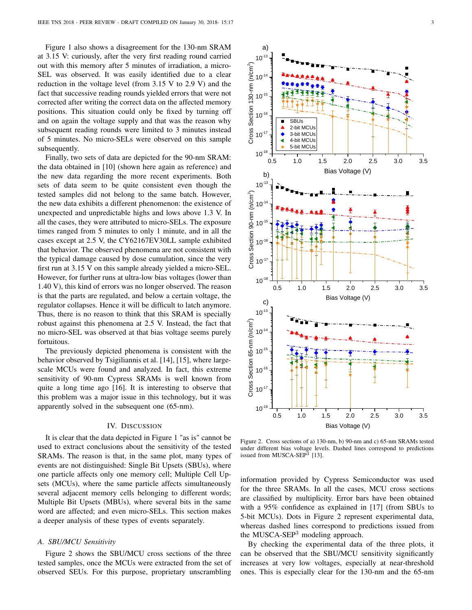Figure [1](#page-1-1) also shows a disagreement for the 130-nm SRAM at 3.15 V: curiously, after the very first reading round carried out with this memory after 5 minutes of irradiation, a micro-SEL was observed. It was easily identified due to a clear reduction in the voltage level (from 3.15 V to 2.9 V) and the fact that successive reading rounds yielded errors that were not corrected after writing the correct data on the affected memory positions. This situation could only be fixed by turning off and on again the voltage supply and that was the reason why subsequent reading rounds were limited to 3 minutes instead of 5 minutes. No micro-SELs were observed on this sample subsequently.

Finally, two sets of data are depicted for the 90-nm SRAM: the data obtained in [\[10\]](#page-6-9) (shown here again as reference) and the new data regarding the more recent experiments. Both sets of data seem to be quite consistent even though the tested samples did not belong to the same batch. However, the new data exhibits a different phenomenon: the existence of unexpected and unpredictable highs and lows above 1.3 V. In all the cases, they were attributed to micro-SELs. The exposure times ranged from 5 minutes to only 1 minute, and in all the cases except at 2.5 V, the CY62167EV30LL sample exhibited that behavior. The observed phenomena are not consistent with the typical damage caused by dose cumulation, since the very first run at 3.15 V on this sample already yielded a micro-SEL. However, for further runs at ultra-low bias voltages (lower than 1.40 V), this kind of errors was no longer observed. The reason is that the parts are regulated, and below a certain voltage, the regulator collapses. Hence it will be difficult to latch anymore. Thus, there is no reason to think that this SRAM is specially robust against this phenomena at 2.5 V. Instead, the fact that no micro-SEL was observed at that bias voltage seems purely fortuitous.

The previously depicted phenomena is consistent with the behavior observed by Tsigiliannis et al. [\[14\]](#page-7-2), [\[15\]](#page-7-3), where largescale MCUs were found and analyzed. In fact, this extreme sensitivity of 90-nm Cypress SRAMs is well known from quite a long time ago [\[16\]](#page-7-4). It is interesting to observe that this problem was a major issue in this technology, but it was apparently solved in the subsequent one (65-nm).

#### IV. DISCUSSION

<span id="page-2-0"></span>It is clear that the data depicted in Figure [1](#page-1-1) "as is" cannot be used to extract conclusions about the sensitivity of the tested SRAMs. The reason is that, in the same plot, many types of events are not distinguished: Single Bit Upsets (SBUs), where one particle affects only one memory cell; Multiple Cell Upsets (MCUs), where the same particle affects simultaneously several adjacent memory cells belonging to different words; Multiple Bit Upsets (MBUs), where several bits in the same word are affected; and even micro-SELs. This section makes a deeper analysis of these types of events separately.

## <span id="page-2-2"></span>*A. SBU/MCU Sensitivity*

Figure [2](#page-2-1) shows the SBU/MCU cross sections of the three tested samples, once the MCUs were extracted from the set of observed SEUs. For this purpose, proprietary unscrambling



<span id="page-2-1"></span>Figure 2. Cross sections of a) 130-nm, b) 90-nm and c) 65-nm SRAMs tested under different bias voltage levels. Dashed lines correspond to predictions issued from MUSCA-SEP<sup>3</sup> [\[13\]](#page-7-5).

information provided by Cypress Semiconductor was used for the three SRAMs. In all the cases, MCU cross sections are classified by multiplicity. Error bars have been obtained with a 95% confidence as explained in [\[17\]](#page-7-6) (from SBUs to 5-bit MCUs). Dots in Figure [2](#page-2-1) represent experimental data, whereas dashed lines correspond to predictions issued from the MUSCA-SEP<sup>3</sup> modeling approach.

By checking the experimental data of the three plots, it can be observed that the SBU/MCU sensitivity significantly increases at very low voltages, especially at near-threshold ones. This is especially clear for the 130-nm and the 65-nm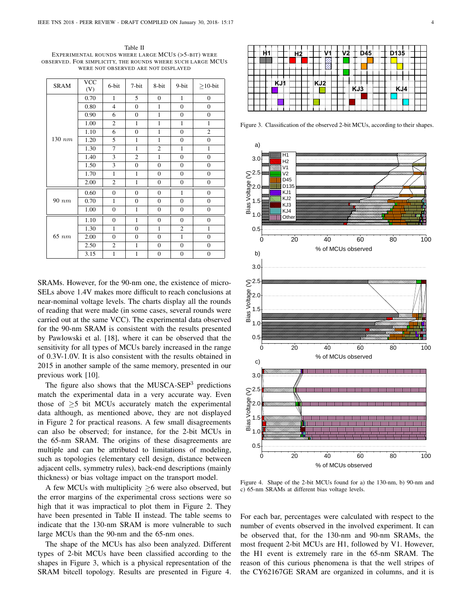<span id="page-3-0"></span>Table II EXPERIMENTAL ROUNDS WHERE LARGE MCUS (>5-BIT) WERE OBSERVED. FOR SIMPLICITY, THE ROUNDS WHERE SUCH LARGE MCUS WERE NOT OBSERVED ARE NOT DISPLAYED

| <b>SRAM</b> | <b>VCC</b><br>(V) | 6-bit            | 7-bit            | 8-bit            | 9-bit            | $\geq$ 10-bit    |
|-------------|-------------------|------------------|------------------|------------------|------------------|------------------|
|             | 0.70              | $\mathbf{1}$     | 5                | $\boldsymbol{0}$ | $\mathbf{1}$     | $\boldsymbol{0}$ |
|             | 0.80              | $\overline{4}$   | $\boldsymbol{0}$ | 1                | $\boldsymbol{0}$ | $\boldsymbol{0}$ |
|             | 0.90              | 6                | $\overline{0}$   | $\mathbf{1}$     | $\overline{0}$   | $\overline{0}$   |
|             | 1.00              | 2                | $\mathbf{1}$     | $\mathbf{1}$     | $\mathbf{1}$     | $\mathbf{1}$     |
|             | 1.10              | 6                | $\boldsymbol{0}$ | $\mathbf{1}$     | $\boldsymbol{0}$ | $\overline{c}$   |
| $130\ nm$   | 1.20              | 5                | $\mathbf{1}$     | $\mathbf{1}$     | $\boldsymbol{0}$ | $\boldsymbol{0}$ |
|             | 1.30              | 7                | $\mathbf{1}$     | $\overline{c}$   | 1                | $\mathbf{1}$     |
|             | 1.40              | 3                | $\overline{2}$   | 1                | $\boldsymbol{0}$ | $\boldsymbol{0}$ |
|             | 1.50              | 3                | $\overline{0}$   | $\mathbf{0}$     | $\overline{0}$   | $\overline{0}$   |
|             | 1.70              | $\mathbf{1}$     | $\mathbf{1}$     | $\boldsymbol{0}$ | $\boldsymbol{0}$ | $\boldsymbol{0}$ |
|             | 2.00              | $\mathfrak{2}$   | $\mathbf{1}$     | $\boldsymbol{0}$ | $\boldsymbol{0}$ | $\mathbf{0}$     |
|             | 0.60              | $\overline{0}$   | $\boldsymbol{0}$ | $\boldsymbol{0}$ | $\mathbf{1}$     | $\boldsymbol{0}$ |
| $90\ nm$    | 0.70              | $\mathbf{1}$     | $\boldsymbol{0}$ | $\boldsymbol{0}$ | $\boldsymbol{0}$ | $\boldsymbol{0}$ |
|             | 1.00              | $\boldsymbol{0}$ | $\mathbf{1}$     | $\boldsymbol{0}$ | $\mathbf{0}$     | $\boldsymbol{0}$ |
|             | 1.10              | $\overline{0}$   | $\mathbf{1}$     | $\mathbf{0}$     | $\mathbf{0}$     | $\overline{0}$   |
|             | 1.30              | $\mathbf{1}$     | $\boldsymbol{0}$ | $\mathbf{1}$     | $\overline{c}$   | 1                |
| $65\ nm$    | 2.00              | $\overline{0}$   | $\overline{0}$   | $\mathbf{0}$     | $\mathbf{1}$     | $\overline{0}$   |
|             | 2.50              | 2                | $\mathbf{1}$     | $\boldsymbol{0}$ | $\boldsymbol{0}$ | $\boldsymbol{0}$ |
|             | 3.15              | $\mathbf{1}$     | $\mathbf{1}$     | $\boldsymbol{0}$ | $\boldsymbol{0}$ | $\mathbf{0}$     |

SRAMs. However, for the 90-nm one, the existence of micro-SELs above 1.4V makes more difficult to reach conclusions at near-nominal voltage levels. The charts display all the rounds of reading that were made (in some cases, several rounds were carried out at the same VCC). The experimental data observed for the 90-nm SRAM is consistent with the results presented by Pawlowski et al. [\[18\]](#page-7-7), where it can be observed that the sensitivity for all types of MCUs barely increased in the range of 0.3V-1.0V. It is also consistent with the results obtained in 2015 in another sample of the same memory, presented in our previous work [\[10\]](#page-6-9).

The figure also shows that the MUSCA-SEP<sup>3</sup> predictions match the experimental data in a very accurate way. Even those of  $\geq$ 5 bit MCUs accurately match the experimental data although, as mentioned above, they are not displayed in Figure [2](#page-2-1) for practical reasons. A few small disagreements can also be observed; for instance, for the 2-bit MCUs in the 65-nm SRAM. The origins of these disagreements are multiple and can be attributed to limitations of modeling, such as topologies (elementary cell design, distance between adjacent cells, symmetry rules), back-end descriptions (mainly thickness) or bias voltage impact on the transport model.

A few MCUs with multiplicity ≥6 were also observed, but the error margins of the experimental cross sections were so high that it was impractical to plot them in Figure [2.](#page-2-1) They have been presented in Table [II](#page-3-0) instead. The table seems to indicate that the 130-nm SRAM is more vulnerable to such large MCUs than the 90-nm and the 65-nm ones.

The shape of the MCUs has also been analyzed. Different types of 2-bit MCUs have been classified according to the shapes in Figure [3,](#page-3-1) which is a physical representation of the SRAM bitcell topology. Results are presented in Figure [4.](#page-3-2)



<span id="page-3-1"></span>Figure 3. Classification of the observed 2-bit MCUs, according to their shapes.



<span id="page-3-2"></span>Figure 4. Shape of the 2-bit MCUs found for a) the 130-nm, b) 90-nm and c) 65-nm SRAMs at different bias voltage levels.

For each bar, percentages were calculated with respect to the number of events observed in the involved experiment. It can be observed that, for the 130-nm and 90-nm SRAMs, the most frequent 2-bit MCUs are H1, followed by V1. However, the H1 event is extremely rare in the 65-nm SRAM. The reason of this curious phenomena is that the well stripes of the CY62167GE SRAM are organized in columns, and it is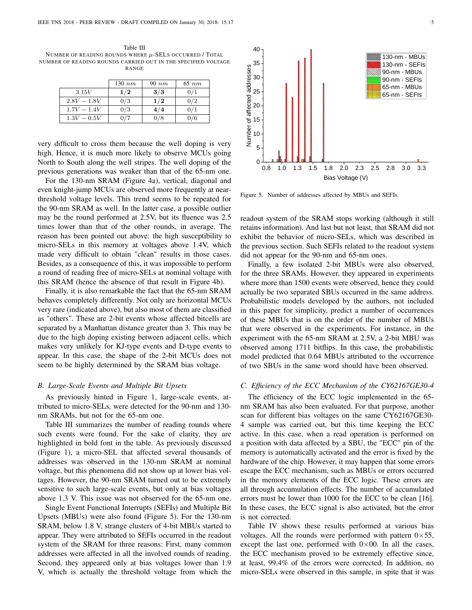<span id="page-4-1"></span>Table III NUMBER OF READING ROUNDS WHERE  $\mu$ -SELS OCCURRED / TOTAL NUMBER OF READING ROUNDS CARRIED OUT IN THE SPECIFIED VOLTAGE RANGE

|               | $130\ nm$ | $90\ nm$ | $65\ nm$ |
|---------------|-----------|----------|----------|
| 3.15V         | 1/2       | 3/3      | 0/1      |
| $2.8V - 1.8V$ | 0/3       | 1/2      | 0/2      |
| $1.7V - 1.4V$ | 0/3       | 4/4      | 0/1      |
| $1.3V - 0.5V$ |           | 0/8      | 0/6      |

very difficult to cross them because the well doping is very high. Hence, it is much more likely to observe MCUs going North to South along the well stripes. The well doping of the previous generations was weaker than that of the 65-nm one.

For the 130-nm SRAM (Figure [4a](#page-3-2)), vertical, diagonal and even knight-jump MCUs are observed more frequently at nearthreshold voltage levels. This trend seems to be repeated for the 90-nm SRAM as well. In the latter case, a possible outlier may be the round performed at 2.5V, but its fluence was 2.5 times lower than that of the other rounds, in average. The reason has been pointed out above: the high susceptibility to micro-SELs in this memory at voltages above 1.4V, which made very difficult to obtain "clean" results in those cases. Besides, as a consequence of this, it was impossible to perform a round of reading free of micro-SELs at nominal voltage with this SRAM (hence the absence of that result in Figure [4b](#page-3-2)).

Finally, it is also remarkable the fact that the 65-nm SRAM behaves completely differently. Not only are horizontal MCUs very rare (indicated above), but also most of them are classified as "others". These are 2-bit events whose affected bitcells are separated by a Manhattan distance greater than 3. This may be due to the high doping existing between adjacent cells, which makes very unlikely for KJ-type events and D-type events to appear. In this case, the shape of the 2-bit MCUs does not seem to be highly determined by the SRAM bias voltage.

#### *B. Large-Scale Events and Multiple Bit Upsets*

As previously hinted in Figure [1,](#page-1-1) large-scale events, attributed to micro-SELs, were detected for the 90-nm and 130 nm SRAMs, but not for the 65-nm one.

Table [III](#page-4-1) summarizes the number of reading rounds where such events were found. For the sake of clarity, they are highlighted in bold font in the table. As previously discussed (Figure [1\)](#page-1-1), a micro-SEL that affected several thousands of addresses was observed in the 130-nm SRAM at nominal voltage, but this phenomena did not show up at lower bias voltages. However, the 90-nm SRAM turned out to be extremely sensitive to such large-scale events, but only at bias voltages above 1.3 V. This issue was not observed for the 65-nm one.

Single Event Functional Interrupts (SEFIs) and Multiple Bit Upsets (MBUs) were also found (Figure [5\)](#page-4-2). For the 130-nm SRAM, below 1.8 V, strange clusters of 4-bit MBUs started to appear. They were attributed to SEFIs occurred in the readout system of the SRAM for three reasons: First, many common addresses were affected in all the involved rounds of reading. Second, they appeared only at bias voltages lower than 1.9 V, which is actually the threshold voltage from which the



<span id="page-4-2"></span>Figure 5. Number of addresses affected by MBUs and SEFIs.

readout system of the SRAM stops working (although it still retains information). And last but not least, that SRAM did not exhibit the behavior of micro-SELs, which was described in the previous section. Such SEFIs related to the readout system did not appear for the 90-nm and 65-nm ones.

Finally, a few isolated 2-bit MBUs were also observed, for the three SRAMs. However, they appeared in experiments where more than 1500 events were observed, hence they could actually be two separated SBUs occurred in the same address. Probabilistic models developed by the authors, not included in this paper for simplicity, predict a number of occurrences of these MBUs that is on the order of the number of MBUs that were observed in the experiments. For instance, in the experiment with the 65-nm SRAM at 2.5V, a 2-bit MBU was observed among 1711 bitflips. In this case, the probabilistic model predicted that 0.64 MBUs attributed to the occurrence of two SBUs in the same word should have been observed.

### <span id="page-4-0"></span>*C. Efficiency of the ECC Mechanism of the CY62167GE30-4*

The efficiency of the ECC logic implemented in the 65 nm SRAM has also been evaluated. For that purpose, another scan for different bias voltages on the same CY62167GE30- 4 sample was carried out, but this time keeping the ECC active. In this case, when a read operation is performed on a position with data affected by a SBU, the "ECC" pin of the memory is automatically activated and the error is fixed by the hardware of the chip. However, it may happen that some errors escape the ECC mechanism, such as MBUs or errors occurred in the memory elements of the ECC logic. These errors are all through accumulation effects. The number of accumulated errors must be lower than 1000 for the ECC to be clean [\[16\]](#page-7-4). In these cases, the ECC signal is also activated, but the error is not corrected.

Table [IV](#page-5-0) shows these results performed at various bias voltages. All the rounds were performed with pattern  $0\times 55$ , except the last one, performed with  $0\times 00$ . In all the cases, the ECC mechanism proved to be extremely effective since, at least, 99.4% of the errors were corrected. In addition, no micro-SELs were observed in this sample, in spite that it was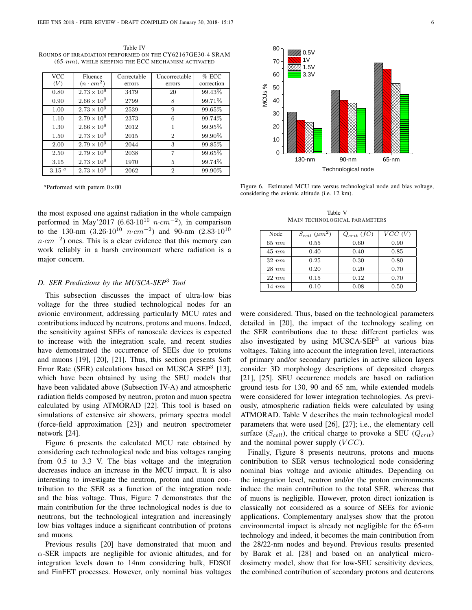<span id="page-5-0"></span>Table IV ROUNDS OF IRRADIATION PERFORMED ON THE CY62167GE30-4 SRAM  $(65-nm)$ , WHILE KEEPING THE ECC MECHANISM ACTIVATED

| <b>VCC</b>        | Fluence              | Correctable | Uncorrectable  | $%$ ECC    |
|-------------------|----------------------|-------------|----------------|------------|
| (V)               | $(n \cdot cm^2)$     | errors      | errors         | correction |
| 0.80              | $2.73 \times 10^{9}$ | 3479        | 20             | 99.43\%    |
| 0.90              | $2.66 \times 10^{9}$ | 2799        | 8              | 99.71%     |
| 1.00              | $2.73 \times 10^{9}$ | 2539        | 9              | 99.65%     |
| 1.10              | $2.79 \times 10^{9}$ | 2373        | 6              | 99.74%     |
| 1.30              | $2.66 \times 10^{9}$ | 2012        | 1              | 99.95%     |
| 1.50              | $2.73 \times 10^{9}$ | 2015        | $\overline{2}$ | 99.90%     |
| 2.00              | $2.79 \times 10^{9}$ | 2044        | 3              | 99.85%     |
| 2.50              | $2.79 \times 10^{9}$ | 2038        | 7              | 99.65%     |
| 3.15              | $2.73 \times 10^{9}$ | 1970        | 5              | 99.74%     |
| 3.15 <sup>a</sup> | $2.73 \times 10^{9}$ | 2062        | $\overline{2}$ | 99.90%     |

<span id="page-5-1"></span> $a$ Performed with pattern  $0 \times 00$ 

the most exposed one against radiation in the whole campaign performed in May'2017 (6.63 $\cdot 10^{10}$   $n \cdot cm^{-2}$ ), in comparison to the 130-nm  $(3.26 \cdot 10^{10} \text{ n} \cdot \text{cm}^{-2})$  and 90-nm  $(2.83 \cdot 10^{10} \text{ m})$  $n \cdot cm^{-2}$ ) ones. This is a clear evidence that this memory can work reliably in a harsh environment where radiation is a major concern.

## *D. SER Predictions by the MUSCA-SEP*<sup>3</sup> *Tool*

This subsection discusses the impact of ultra-low bias voltage for the three studied technological nodes for an avionic environment, addressing particularly MCU rates and contributions induced by neutrons, protons and muons. Indeed, the sensitivity against SEEs of nanoscale devices is expected to increase with the integration scale, and recent studies have demonstrated the occurrence of SEEs due to protons and muons [\[19\]](#page-7-8), [\[20\]](#page-7-9), [\[21\]](#page-7-10). Thus, this section presents Soft Error Rate (SER) calculations based on MUSCA SEP<sup>3</sup> [\[13\]](#page-7-5), which have been obtained by using the SEU models that have been validated above (Subsection [IV-A\)](#page-2-2) and atmospheric radiation fields composed by neutron, proton and muon spectra calculated by using ATMORAD [\[22\]](#page-7-11). This tool is based on simulations of extensive air showers, primary spectra model (force-field approximation [\[23\]](#page-7-12)) and neutron spectrometer network [\[24\]](#page-7-13). **and the second of the second of the second of the second of the second of the second of the second of the second of the second of the second of the second of the second of the second of the second of the second of the se** 

Figure [6](#page-5-2) presents the calculated MCU rate obtained by considering each technological node and bias voltages ranging from 0.5 to 3.3 V. The bias voltage and the integration decreases induce an increase in the MCU impact. It is also interesting to investigate the neutron, proton and muon contribution to the SER as a function of the integration node and the bias voltage. Thus, Figure [7](#page-6-10) demonstrates that the main contribution for the three technological nodes is due to neutrons, but the technological integration and increasingly low bias voltages induce a significant contribution of protons and muons.

Previous results [\[20\]](#page-7-9) have demonstrated that muon and  $\alpha$ -SER impacts are negligible for avionic altitudes, and for integration levels down to 14nm considering bulk, FDSOI



<span id="page-5-2"></span>Figure 6. Estimated MCU rate versus technological node and bias voltage, considering the avionic altitude (i.e. 12 km).

Table V MAIN TECHNOLOGICAL PARAMETERS

<span id="page-5-3"></span>

| Node       | $S_{cell}$ ( $\mu m^2$ ) | $Q_{crit}$ (fC) | $VCC$ $(V)$ |
|------------|--------------------------|-----------------|-------------|
| $65\ nm$   | 0.55                     | 0.60            | 0.90        |
| $45\ nm$   | 0.40                     | 0.40            | 0.85        |
| $32 \; nm$ | 0.25                     | 0.30            | 0.80        |
| $28\ nm$   | 0.20                     | 0.20            | 0.70        |
| $22 \ nm$  | 0.15                     | 0.12            | 0.70        |
| $14 \; nm$ | 0.10                     | 0.08            | 0.50        |

were considered. Thus, based on the technological parameters detailed in [\[20\]](#page-7-9), the impact of the technology scaling on the SER contributions due to these different particles was also investigated by using MUSCA-SEP<sup>3</sup> at various bias voltages. Taking into account the integration level, interactions of primary and/or secondary particles in active silicon layers consider 3D morphology descriptions of deposited charges [\[21\]](#page-7-10), [\[25\]](#page-7-14). SEU occurrence models are based on radiation ground tests for 130, 90 and 65 nm, while extended models were considered for lower integration technologies. As previously, atmospheric radiation fields were calculated by using ATMORAD. Table [V](#page-5-3) describes the main technological model parameters that were used [\[26\]](#page-7-15), [\[27\]](#page-7-16); i.e., the elementary cell surface  $(S_{cell})$ , the critical charge to provoke a SEU  $(Q_{crit})$ and the nominal power supply  $(VCC)$ .

Finally, Figure [8](#page-6-11) presents neutrons, protons and muons contribution to SER versus technological node considering nominal bias voltage and avionic altitudes. Depending on the integration level, neutron and/or the proton environments induce the main contribution to the total SER, whereas that of muons is negligible. However, proton direct ionization is classically not considered as a source of SEEs for avionic applications. Complementary analyses show that the proton environmental impact is already not negligible for the 65-nm technology and indeed, it becomes the main contribution from the 28/22-nm nodes and beyond. Previous results presented by Barak et al. [\[28\]](#page-7-17) and based on an analytical microdosimetry model, show that for low-SEU sensitivity devices, the combined contribution of secondary protons and deuterons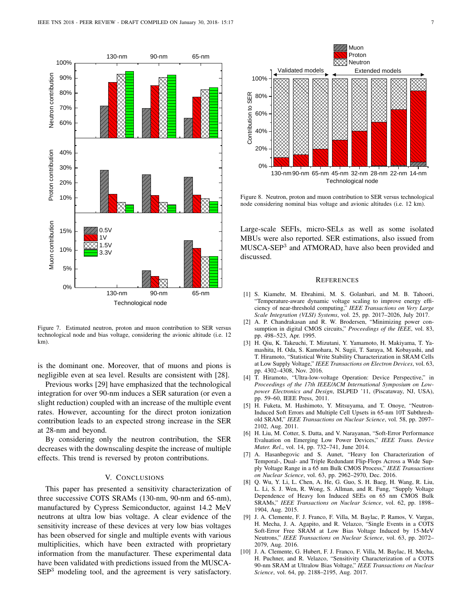

<span id="page-6-10"></span>Figure 7. Estimated neutron, proton and muon contribution to SER versus technological node and bias voltage, considering the avionic altitude (i.e. 12 km).

is the dominant one. Moreover, that of muons and pions is negligible even at sea level. Results are consistent with [\[28\]](#page-7-17).

Previous works [\[29\]](#page-7-18) have emphasized that the technological integration for over 90-nm induces a SER saturation (or even a slight reduction) coupled with an increase of the multiple event rates. However, accounting for the direct proton ionization contribution leads to an expected strong increase in the SER at 28-nm and beyond.

By considering only the neutron contribution, the SER decreases with the downscaling despite the increase of multiple effects. This trend is reversed by proton contributions.

## <span id="page-6-9"></span><span id="page-6-8"></span><span id="page-6-7"></span><span id="page-6-6"></span><span id="page-6-5"></span>V. CONCLUSIONS

This paper has presented a sensitivity characterization of three successive COTS SRAMs (130-nm, 90-nm and 65-nm), manufactured by Cypress Semiconductor, against 14.2 MeV neutrons at ultra low bias voltage. A clear evidence of the sensitivity increase of these devices at very low bias voltages has been observed for single and multiple events with various multiplicities, which have been extracted with proprietary information from the manufacturer. These experimental data have been validated with predictions issued from the MUSCA-



<span id="page-6-11"></span>Figure 8. Neutron, proton and muon contribution to SER versus technological node considering nominal bias voltage and avionic altitudes (i.e. 12 km).

<span id="page-6-0"></span>Large-scale SEFIs, micro-SELs as well as some isolated MBUs were also reported. SER estimations, also issued from MUSCA-SEP<sup>3</sup> and ATMORAD, have also been provided and discussed.

#### <span id="page-6-4"></span><span id="page-6-3"></span><span id="page-6-2"></span><span id="page-6-1"></span>**REFERENCES**

- 1 30-nm 90-nm 65-nm [1] S. Kiamehr, M. Ebrahimi, M. S. Golanbari, and M. B. Tahoori, "Temperature-aware dynamic voltage scaling to improve energy efficiency of near-threshold computing," *IEEE Transactions on Very Large Scale Integration (VLSI) Systems*, vol. 25, pp. 2017–2026, July 2017.
	- [2] A. P. Chandrakasan and R. W. Brodersen, "Minimizing power consumption in digital CMOS circuits," *Proceedings of the IEEE*, vol. 83, pp. 498–523, Apr. 1995.
	- [3] H. Qiu, K. Takeuchi, T. Mizutani, Y. Yamamoto, H. Makiyama, T. Yamashita, H. Oda, S. Kamohara, N. Sugii, T. Saraya, M. Kobayashi, and T. Hiramoto, "Statistical Write Stability Characterization in SRAM Cells at Low Supply Voltage," *IEEE Transactions on Electron Devices*, vol. 63, pp. 4302–4308, Nov. 2016.
	- [4] T. Hiramoto, "Ultra-low-voltage Operation: Device Perspective," in *Proceedings of the 17th IEEE/ACM International Symposium on Lowpower Electronics and Design*, ISLPED '11, (Piscataway, NJ, USA), pp. 59–60, IEEE Press, 2011.
	- [5] H. Fuketa, M. Hashimoto, Y. Mitsuyama, and T. Onoye, "Neutron-Induced Soft Errors and Multiple Cell Upsets in 65-nm 10T Subthreshold SRAM," *IEEE Transactions on Nuclear Science*, vol. 58, pp. 2097– 2102, Aug. 2011.
	- [6] H. Liu, M. Cotter, S. Datta, and V. Narayanan, "Soft-Error Performance Evaluation on Emerging Low Power Devices," *IEEE Trans. Device Mater. Rel.*, vol. 14, pp. 732–741, June 2014.
	- [7] A. Hasanbegovic and S. Aunet, "Heavy Ion Characterization of Temporal-, Dual- and Triple Redundant Flip-Flops Across a Wide Supply Voltage Range in a 65 nm Bulk CMOS Process," *IEEE Transactions on Nuclear Science*, vol. 63, pp. 2962–2970, Dec. 2016.
	- [8] O. Wu, Y. Li, L. Chen, A. He, G. Guo, S. H. Baeg, H. Wang, R. Liu, L. Li, S. J. Wen, R. Wong, S. Allman, and R. Fung, "Supply Voltage Dependence of Heavy Ion Induced SEEs on 65 nm CMOS Bulk SRAMs," *IEEE Transactions on Nuclear Science*, vol. 62, pp. 1898– 1904, Aug. 2015.
	- [9] J. A. Clemente, F. J. Franco, F. Villa, M. Baylac, P. Ramos, V. Vargas, H. Mecha, J. A. Agapito, and R. Velazco, "Single Events in a COTS Soft-Error Free SRAM at Low Bias Voltage Induced by 15-MeV Neutrons," *IEEE Transactions on Nuclear Science*, vol. 63, pp. 2072– 2079, Aug. 2016.
	- [10] J. A. Clemente, G. Hubert, F. J. Franco, F. Villa, M. Baylac, H. Mecha, H. Puchner, and R. Velazco, "Sensitivity Characterization of a COTS 90-nm SRAM at Ultralow Bias Voltage," *IEEE Transactions on Nuclear Science*, vol. 64, pp. 2188–2195, Aug. 2017.